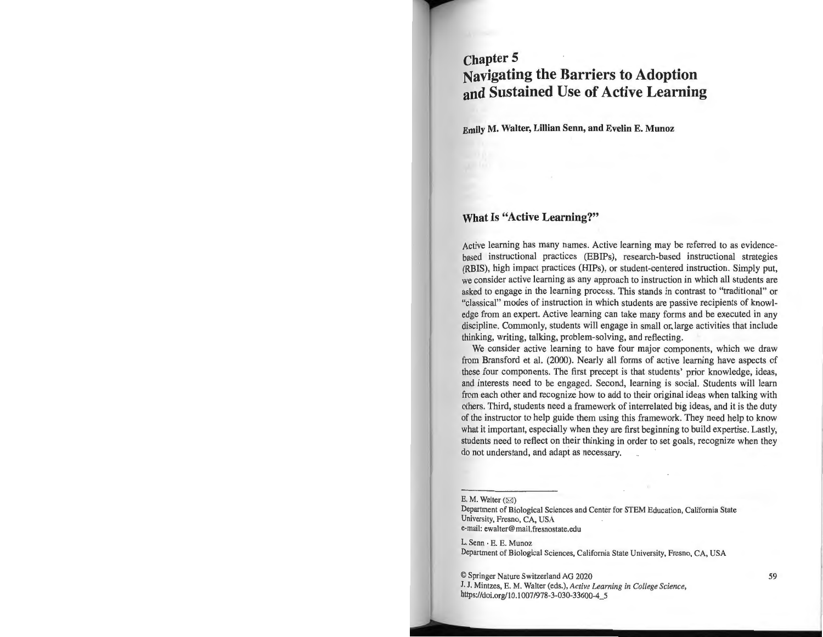# **Chapter 5 Navigating the Barriers to Adoption and Sustained Use of Active Learning**

### **Emily M. Walter, Lillian Senn, and Evelin E. Munoz**

# **What Is "Active Learning?"**

Active learning has many names. Active learning may be referred to as evidencebased instructional practices (EBIPs), research-based instructional strategies (RBIS), high impact practices (HIPs), or student-centered instruction . Simply put, we consider active learning as any approach to instruction in which all students are asked to engage in the learning process. This stands in contrast to "traditional" or "classical" modes of instruction in which students are passive recipients of knowledge from an expert. Active learning can take many forms and be executed in any discipline. Commonly, students will engage in small or large activities that include thinking, writing, talking, problem-solving, and reflecting .

We consider active learning to have four major components, which we draw from Bransford et al. (2000). Nearly all forms of active learning have aspects of these four components. The first precept is that students' prior knowledge, ideas, and interests need to be engaged. Second, learning is social. Students will learn from each other and recognize how to add to their original ideas when talking with others. Third, students need a framework of interrelated big ideas, and it is the duty of the instructor to help guide them using this framework. They need help to know what it important, especially when they are first beginning to build expertise. Lastly, students need to reflect on their thinking in order to set goals, recognize when they do not understand, and adapt as necessary.

E. M. Walter  $(\boxtimes)$ 

Department of Biological Sciences and Center for STEM Education, California State University, Fresno, CA, USA e-mail: ewalter@mail.fresnostate .edu

L. Senn • E. E. Munoz Department of Biological Sciences, California State University, Fresno, CA, USA

© Springer Nature Switzerland AG 2020 *I.* J. Mintzes, E. M. Walter (eds.), *Active Learning in College Science,*  https://doi.org/10.1007/978-3-030-33600-4\_5

59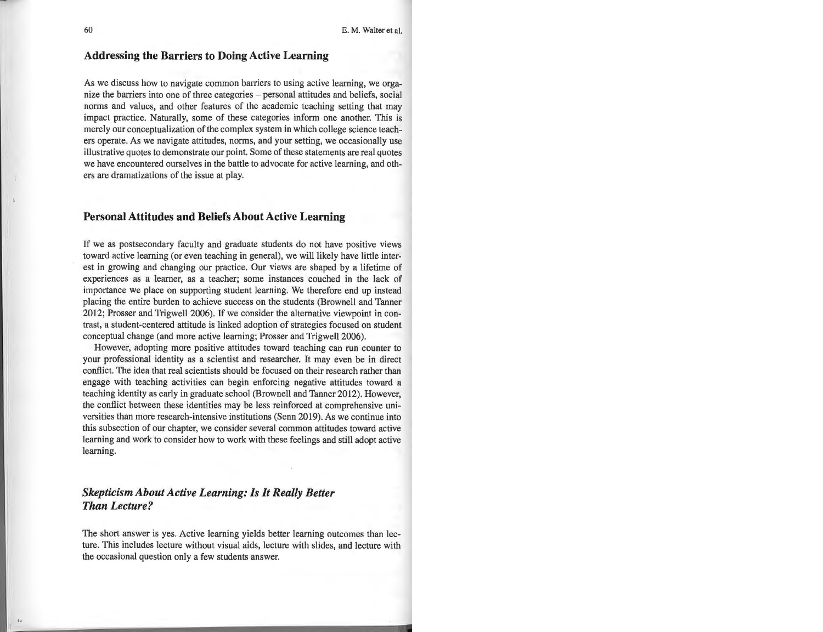#### **Addressing the Barriers to Doing Active Learning**

As we discuss how to navigate common barriers to using active learning, we organize the barriers into one of three categories - personal attitudes and beliefs, social norms and values, and other features of the academic teaching setting that may impact practice . Naturally, some of these categories inform one another. This is merely our conceptualization of the complex system in which college science teachers operate. As we navigate attitudes, norms, and your setting, we occasionally use illustrative quotes to demonstrate our point. Some of these statements are real quotes we have encountered ourselves in the battle to advocate for active learning, and others are dramatizations of the issue at play.

#### **Personal Attitudes and Beliefs About Active Learning**

If we as postsecondary faculty and graduate students do not have positive views toward active learning (or even teaching in general), we will likely have little interest in growing and changing our practice. Our views are shaped by a lifetime of experiences as a learner, as a teacher; some instances couched in the lack of importance we place on supporting student learning. We therefore end up instead placing the entire burden to achieve success on the students (Brownell and Tanner 2012; Prosser and Trigwell 2006). If we consider the alternative viewpoint in contrast, a student-centered attitude is linked adoption of strategies focused on student conceptual change (and more active learning; Prosser and Trigwell 2006).

However, adopting more positive attitudes toward teaching can run counter to your professional identity as a scientist and researcher. It may even be in direct conflict. The idea that real scientists should be focused on their research rather than engage with teaching activities can begin enforcing negative attitudes toward a teaching identity as early in graduate school (Brownell and Tanner 2012). However, the conflict between these identities may be less reinforced at comprehensive universities than more research-intensive institutions (Senn 2019). As we continue into this subsection of our chapter, we consider several common attitudes toward active learning and work to consider how to work with these feelings and still adopt active learning.

# *Skepticism About Active Learning: Is It Really Better Than Lecture?*

The short answer is yes. Active learning yields better learning outcomes than lecture. This includes lecture without visual aids, lecture with slides, and lecture with the occasional question only a few students answer.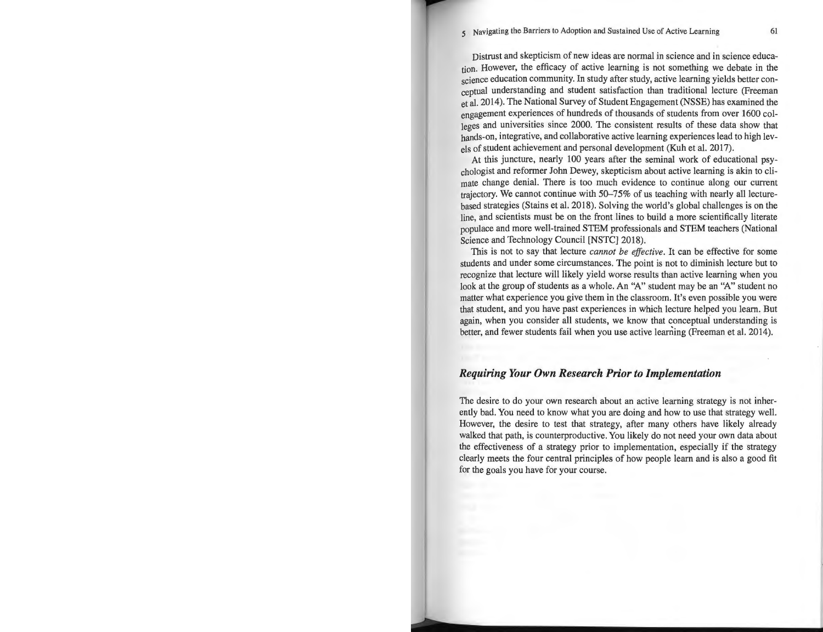#### *5* Navigating the Barriers to Adoption and Sustained Use of Active Learning 61

Distrust and skepticism of new ideas are normal in science and in science education. However, the efficacy of active learning is not something we debate in the science education community. In study after study, active learning yields better conceptual understanding and student satisfaction than traditional lecture (Freeman et al. 2014). The National Survey of Student Engagement (NSSE) has examined the engagement experiences of hundreds of thousands of students from over 1600 colleges and universities since 2000. The consistent results of these data show that hands-on, integrative, and collaborative active learning experiences lead to high levels of student achievement and personal development (Kuh et al. 2017).

At this juncture, nearly 100 years after the seminal work of educational psychologist and reformer John Dewey, skepticism about active learning is akin to climate change denial. There is too much evidence to continue along our current trajectory. We cannot continue with  $50-75\%$  of us teaching with nearly all lecturebased strategies (Stains et al. 2018). Solving the world's global challenges is on the line, and scientists must be on the front lines to build a more scientifically literate populace and more well-trained STEM professionals and STEM teachers (National Science and Technology Council [NSTC] 2018).

This is not to say that lecture *cannot be effective.* It can be effective for some students and under some circumstances. The point is not to diminish lecture but to recognize that lecture will likely yield worse results than active learning when you look at the group of students as a whole. An "A" student may be an "A" student no matter what experience you give them in the classroom. It's even possible you were that student, and you have past experiences in which lecture helped you learn. But again, when you consider all students, we know that conceptual understanding is better, and fewer students fail when you use active learning (Freeman et al. 2014).

#### *Requiring Your Own Research Prior to Implementation*

The desire to do your own research about an active learning strategy is not inherently bad. You need to know what you are doing and how to use that strategy well. However, the desire to test that strategy, after many others have likely already walked that path, is counterproductive. You likely do not need your own data about the effectiveness of a strategy prior to implementation, especially if the strategy clearly meets the four central principles of how people learn and is also a good fit for the goals you have for your course.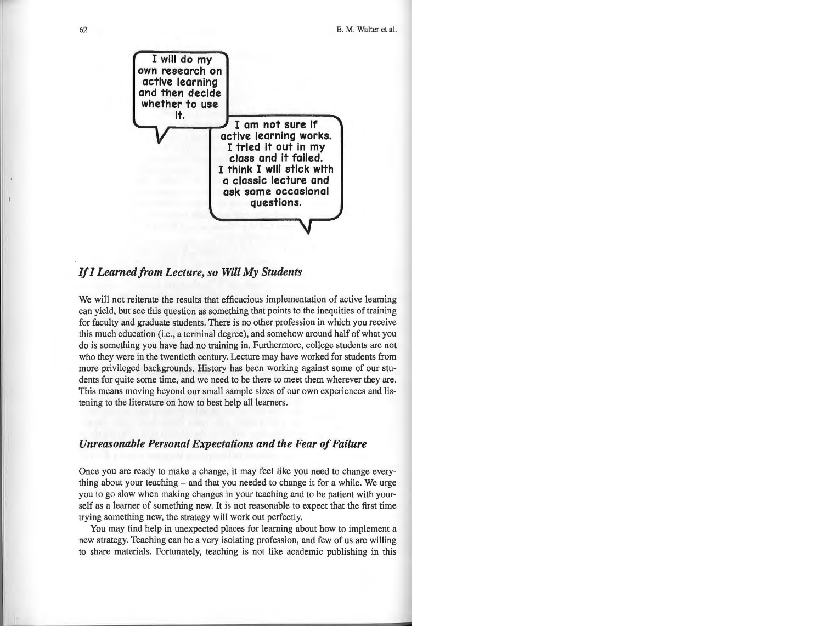

#### *If I Learned from Lecture, so Will My Students*

We will not reiterate the results that efficacious implementation of active learning can yield, but see this question as something that points to the inequities of training for faculty and graduate students. There is no other profession in which you receive this much education (i.e., a terminal degree), and somehow around half of what you do is something you have had no training in. Furthermore, college students are not who they were in the twentieth century. Lecture may have worked for students from more privileged backgrounds. History has been working against some of our students for quite some time, and we need to be there to meet them wherever they are. This means moving beyond our small sample sizes of our own experiences and listening to the literature on how to best help all learners.

## *Unreasonable Personal Expectations and the Fear of Failure*

Once you are ready to make a change, it may feel like you need to change everything about your teaching – and that you needed to change it for a while. We urge you to go slow when making changes in your teaching and to be patient with yourself as a learner of something new. It is not reasonable to expect that the first time trying something new, the strategy will work out perfectly.

You may find help in unexpected places for learning about how to implement a new strategy. Teaching can be a very isolating profession, and few of us are willing to share materials. Fortunately, teaching is not like academic publishing in this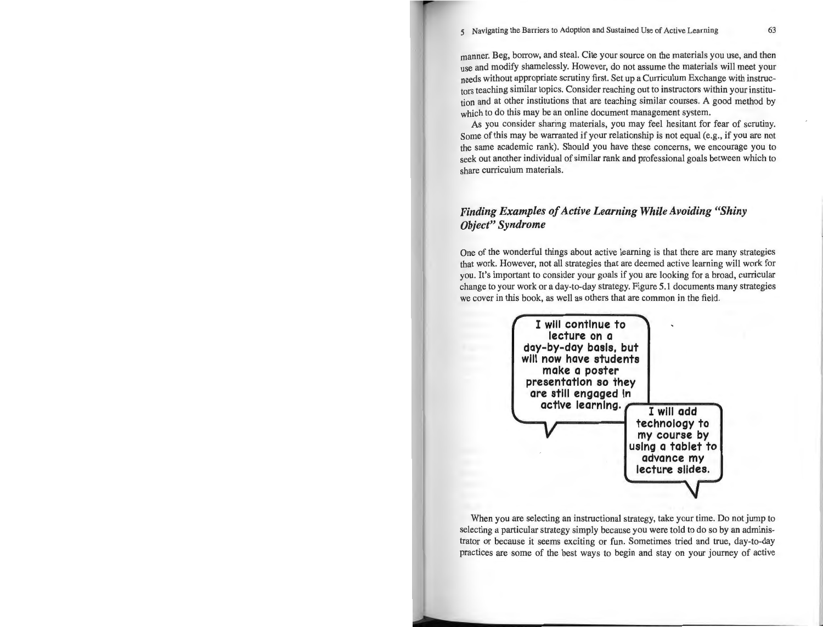manner. Beg, borrow, and steal. Cite your source on the materials you use, and then use and modify shamelessly. However, do not assume the materials will meet your needs without appropriate scrutiny first. Set up a Curriculum Exchange with instructors teaching similar topics. Consider reaching out to instructors within your institution and at other institutions that are teaching similar courses. A good method by which to do this may be an online document management system.

As you consider sharing materials, you may feel hesitant for fear of scrutiny. Some of this may be warranted if your relationship is not equal (e.g., if you are not the same academic rank). Should you have these concerns, we encourage you to seek out another individual of similar rank and professional goals between which to share curriculum materials.

# *Finding Examples of Active Learning While Avoiding "Shiny Object" Syndrome*

One of the wonderful things about active learning is that there are many strategies that work. However, not all strategies that are deemed active learning will work for you. It's important to consider your goals if you are looking for a broad, curricular change to your work or a day-to-day strategy. Figure 5.1 documents many strategies we cover in this book, as well as others that are common in the field.



When you are selecting an instructional strategy, take your time. Do not jump to selecting a particular strategy simply because you were told to do so by an administrator or because it seems exciting or fun. Sometimes tried and true, day-to-day practices are some of the best ways to begin and stay on your journey of active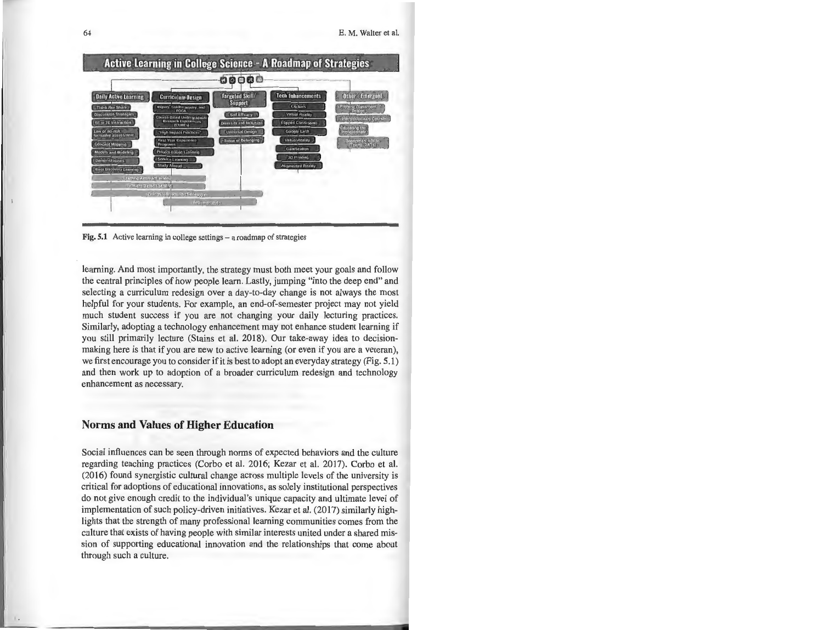

**Fig. 5.1** Active learning in college settings – a roadmap of strategies

learning. And most importantly, the strategy must both meet your goals and follow the central principles of how people learn. Lastly, jumping "into the deep end" and selecting a curriculum redesign over a day-to-day change is not always the most helpful for your students. For example, an end-of-semester project may not yield much student success if you are not changing your daily lecturing practices. Similarly, adopting a technology enhancement may not enhance student learning if you still primarily lecture (Stains et al. 2018) . Our take-away idea to decisionmaking here is that if you are new to active learning (or even if you are a veteran), we first encourage you to consider if it is best to adopt an everyday strategy (Fig. 5.1) and then work up to adoption of a broader curriculum redesign and technology enhancement as necessary.

## **Norms and Values of Higher Education**

Social influences can be seen through norms of expected behaviors and the culture regarding teaching practices (Corbo et al. 2016; Kezar et al. 2017). Corbo et al. (2016) found synergistic cultural change across multiple levels of the university is critical for adoptions of educational innovations, as solely institutional perspectives do not give enough credit to the individual 's unique capacity and ultimate level of implementation of such policy-driven initiatives. Kezar et al. (2017) similarly highlights that the strength of many professional learning communities comes from the culture that exists of having people with similar interests united under a shared mission of supporting educational innovation and the relationships that come about through such a culture.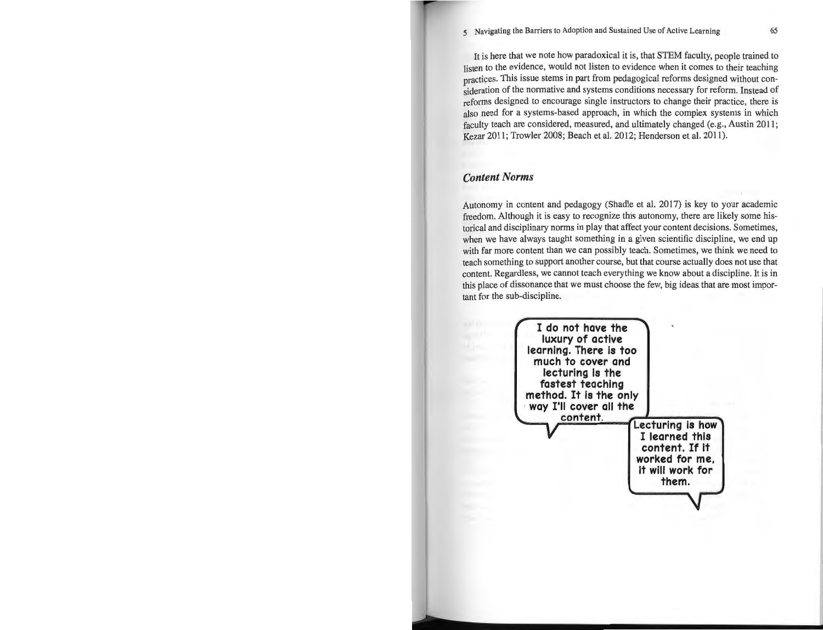#### *5* Navigating the Barrier s to Adoption and Sustained Use of Active Learning 65

It is here that we note how paradoxical it is, that STEM faculty, people trained to listen to the evidence, would not listen to evidence when it comes to their teaching practices. This issue stems in part from pedagogical reforms designed without consideration of the normative and systems conditions necessary for reform. Instead of reforms designed to encourage single instructors to change their practice, there is also need for a systems-based approach, in which the complex systems in which faculty teach are considered, measured, and ultimately changed (e.g., Austin 2011; Kezar 2011; Trowler 2008; Beach et al. 2012; Henderson et al. 2011).

## *Content Norms*

Autonomy in content and pedagogy (Shadle et al. 2017) is key to your academic freedom. Although it is easy to recognize this autonomy, there are likely some historical and disciplinary norms in play that affect your content decisions. Sometimes, when we have always taught something in a given scientific discipline, we end up with far more content than we can possibly teach. Sometimes, we think we need to teach something to support another course, but that course actually does not use that content. Regardless, we cannot teach everything we know about a discipline. It is in this place of dissonance that we must choose the few, big ideas. that are most important for the sub-discipline.

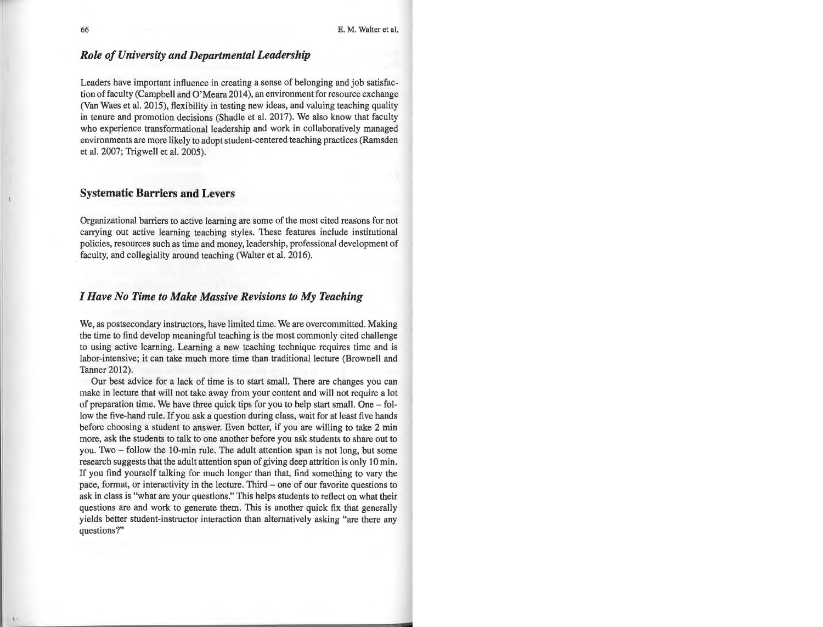# *Role of University and Departmental Leadership*

Leaders have important influence in creating a sense of belonging and job satisfaction of faculty (Campbell and O' Meara 2014 ), an environment for resource exchange (Van Waes et al. 2015), flexibility in testing new ideas, and valuing teaching quality in tenure and promotion decisions (Shadle et al. 2017). We also know that faculty who experience transformational leadership and work in collaboratively managed environments are more likely to adopt student-centered teaching practices (Ramsden et al. 2007; Trigwell et al. 2005).

## **Systematic Barriers and Levers**

Organizational barriers to active learning are some of the most cited reasons for not carrying out active learning teaching styles. These features include institutional policies, resources such as time and money, leadership, professional development of faculty, and collegiality around teaching (Walter et al. 2016).

#### *I Have No Time to Make Massive Revisions to My Teaching*

We, as postsecondary instructors, have limited time. We are overcommitted. Making the time to find develop meaningful teaching is the most commonly cited challenge to using active learning. Learning a new teaching technique requires time and is labor-intensive; it can take much more time than traditional lecture (Brownell and Tanner 2012).

Our best advice for a lack of time is to start small. There are changes you can make in lecture that will not take away from your content and will not require a lot of preparation time. We have three quick tips for you to help start small. One  $-$  follow the five-hand rule. If you ask a question during class, wait for at least five hands before choosing a student to answer. Even better, if you are willing to take 2 min more, ask the students to talk to one another before you ask students to share out to you. Two - follow the 10-min rule. The adult attention span is not long, but some research suggests that the adult attention span of giving deep attrition is only 10 min. If you find yourself talking for much longer than that, find something to vary the pace, format, or interactivity in the lecture. Third – one of our favorite questions to ask in class is "what are your questions." This helps students to reflect on what their questions are and work to generate them. This is another quick fix that generally yields better student-instructor interaction than alternatively asking "are there any questions?"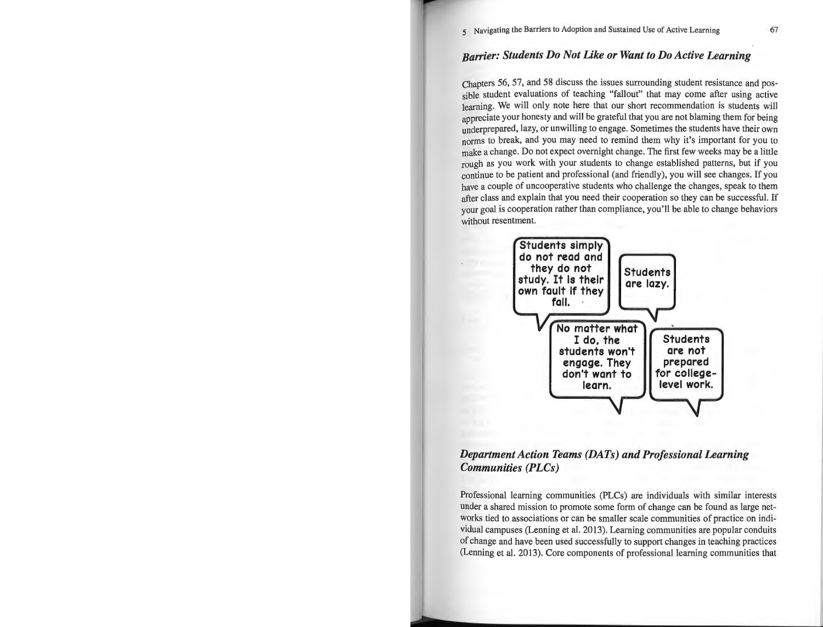# *Barrier: Students Do Not Like or Want to Do Active Learning*

Chapters 56, 57, and 58 discuss the issues surrounding student resistance and possible student evaluations of teaching "fallout" that may come after using active learning. We will only note here that our short recommendation is students will appreciate your honesty and will be grateful that you are not blaming them for being underprepared, lazy, or unwilling to engage. Sometimes the students have their own norms to break, and you may need to remind them why it's important for you to make a change . Do not expect overnight change. The first few weeks may be a little rough as you work with your students to change established patterns, but if you continue to be patient and professional (and friendly), you will see changes. If you have a couple of uncooperative students who challenge the changes, speak to them after class and explain that you need their cooperation so they can be successful. If your goal is cooperation rather than compliance, you'll be able to change behaviors without resentment.



# *Department Action Teams (DATs) and Professional Learning Communities (PLCs)*

Professional learning communities (PLCs) are individuals with similar interests under a shared mission to promote some form of change can be found as large networks tied to associations or can be smaller scale communities of practice on individual campuses (Lenning et al. 2013) . Learning communities are popular conduits of change and have been used successfully to support changes in teaching practices (Lenning et al. 2013). Core components of professional learning communities that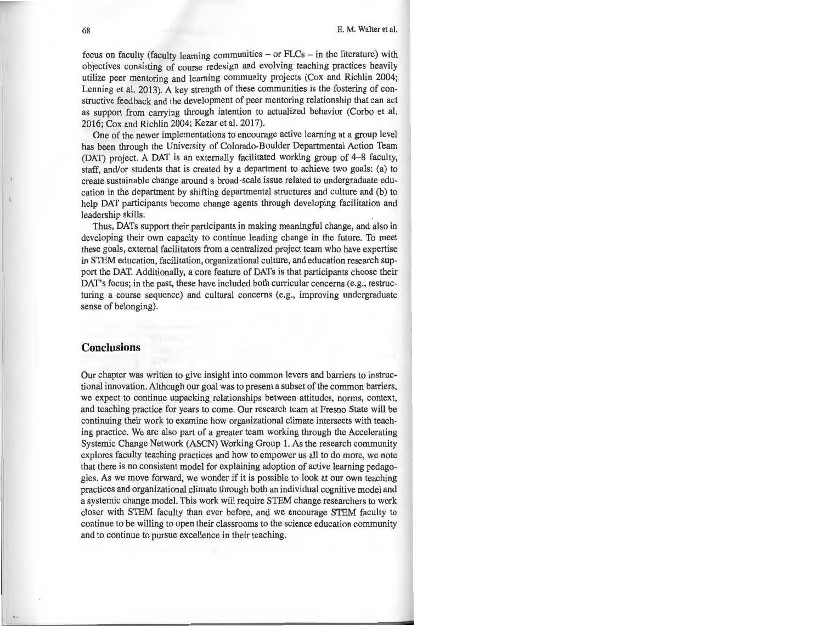focus on faculty (faculty learning communities - or FLCs - in the literature) with objectives consisting of course redesign and evolving teaching practices heavily utilize peer mentoring and learning community projects (Cox and Richlin 2004; Lenning et al. 2013). A key strength of these communities is the fostering of constructive feedback and the development of peer mentoring relationship that can act as support from carrying through intention to actualized behavior (Corbo et al. 2016; Cox and Richlin 2004; Kezar et al. 2017).

One of the newer implementations to encourage active learning at a group level has been through the University of Colorado-Boulder Departmental Action Team (DAT) project. A DAT is an externally facilitated working group of 4-8 faculty, staff, and/or students that is created by a department to achieve two goals: (a) to create sustainable change around a broad-scale issue related to undergraduate education in the department by shifting departmental structures and culture and (b) to help DAT participants become change agents through developing facilitation and leadership skills.

Thus, DATs support their participants in making meaningful change, and also in developing their own capacity to continue leading change in the future. To meet these goals, external facilitators from a centralized project team who have expertise in STEM education, facilitation, organizational culture, and education research support the DAT. Additionally, a core feature of DATs is that participants choose their DAT's focus; in the past, these have included both curricular concerns (e.g., restructuring a course sequence) and cultural concerns (e.g., improving undergraduate sense of belonging).

## **Conclusions**

Our chapter was written to give insight into common levers and barriers to instructional innovation. Although our goal was to present a subset of the common barriers, we expect to continue unpacking relationships between attitudes, norms, context, and teaching practice for years to come. Our research team at Fresno State will be continuing their work to examine how organizational climate intersects with teaching practice. We are also part of a greater team working through the Accelerating Systemic Change Network (ASCN) Working Group 1. As the research community explores faculty teaching practices and how to empower us all to do more, we note that there is no consistent model for explaining adoption of active learning pedagogies. As we move forward, we wonder if it is possible to look at our own teaching practices and organizational climate through both an individual cognitive model and a systemic change model. This work will require STEM change researchers to work closer with STEM faculty than ever before, and we encourage STEM faculty to continue to be willing to open their classrooms to the science education community and to continue to pursue excellence in their teaching.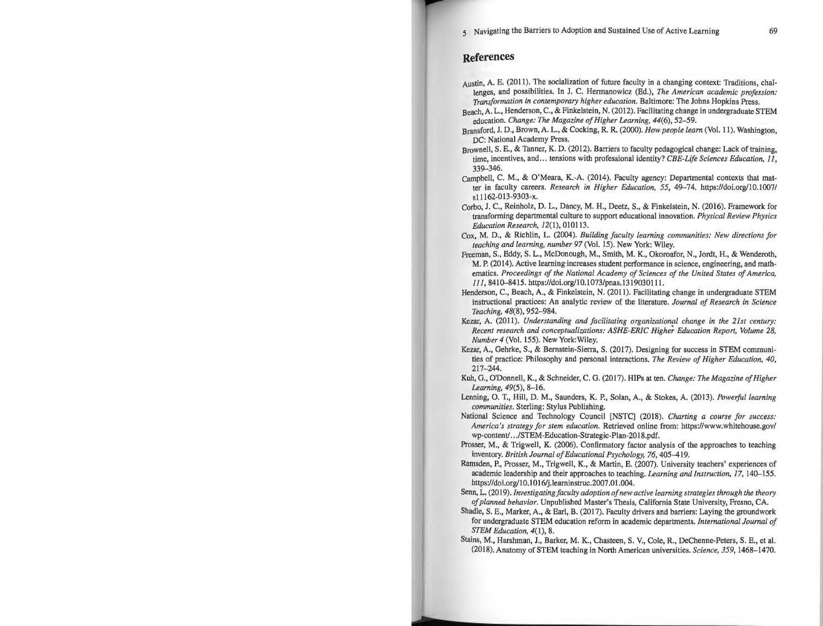*5* Navigating the Barriers to Adoption and Sustained Use of Active Learning 69

## **References**

- Austin, A. E. (2011). The socialization of future faculty in a changing context: Traditions, challenges, and possibilities. In **J.** C. Hermanowicz (Ed.), *The American academic profession: Tran~formation in contemporary higher education.* Baltimore: The Johns Hopkins Press.
- Beach, A. L., Henderson, C., & Finkelstein, N. (2012). Facilitating change in undergraduate STEM education. *Change: The Magazine of Higher Learning*, 44(6), 52-59.
- Bransford, J. D., Brown, A. L., & Cocking, R. R. (2000) . *How people learn* (Vol. 11). Washington, DC: National Academy Press.
- Brownell, S. E., & Tanner, K. D. (2012). Barriers to faculty pedagogical change: Lack of training, time, incentives, and ... tensions with professional identity? *CBE-Life Sciences Education, 11,*  339-346.
- Campbell, C. M., & O'Meara, K.-A. (2014). Faculty agency: Departmental contexts that matter in faculty careers. *Research in Higher Education, 55,* 49-74. https://doi.org/10 .1007/ s11162-013-9303-x.
- Corbo, J. C., Reinholz, D. L., Dancy, **M. H.,** Deetz, S., & Finkelstein, N. (2016) . Framework for transforming departmental culture to support educational innovation. *Physical Review Physics Education Research, 12(1),* 010113.
- Cox, M. D., & Richlin, L. (2004) . *Building faculty learning communities: New directions for teaching and learning, number 97* (Vol. 15). New York: Wiley.
- Freeman, S., Eddy, S. L., McDonough, M., Smith, M. K., Okoroafor, N., Jordt, **H.,** & Wenderoth, M. P. (2014). Active learning increases student performance in science, engineering, and mathematics. *Proceedings of the National Academy of Sciences of the United States of America,*  JI l, 8410-8415. https://doi.org/10.1073/pnas.1319030111.
- Henderson, C., Beach, A., & Finkelstein, N. (2011) . Facilitating change in undergraduate STEM instructional practices : An analytic review of the literature . *Journal of Research in Science Teaching, 48(8),* 952-984 .
- Kezar, A. (2011). *Understanding and facilitating organizational change in the 21st century: Recent research and conceptualizations: ASHE-ERIC Highe~ Education Report, Volume 28, Number 4* (Vol. 155). New York:Wiley.
- Kezar, A., Gehrke, S., & Bernstein-Sierra, S. (2017). Designing for success in STEM communities of practice: Philosophy and personal interactions. *The Review of Higher Education, 40,*  217-244 .
- Kuh, G., O'Donnell, K., & Schneider, C. G. (2017). HIPs at ten. *Change: The Magazine of Higher Learning, 49(5),* 8-16.
- Lenning, O. T., Hill, D. M., Saunders, K. P., Solan, A., & Stokes, A. (2013). *Powerful learning communities.* Sterling: Stylus Publishing.
- National Science and Technology Council [NSTC] (2018). *Charting a course for success: America's strategy for stem education.* Retrieved online from: https://www .whitehouse .gov/ wp-content/.../STEM-Education-Strategic-Plan-2018.pdf.
- Prosser, **M.,** & Trigwell, **K.** (2006). Confirmatory factor analysis of the approaches to teaching inventory. *British Journal of Educational Psychology, 76,* 405-419 .
- Ramsden, P., Prosser, M., Trigwell, K., & Martin, E. (2007). University teachers' experiences of academic leadership and their approaches to teaching. *Learning and Instruction , 17,* 140-155. https://doi.org/10.1016/j.learninstruc.2007.01.004.
- Senn, L. (2019). *Investigating faculty adoption of new active learning strategies thmugh the theory of planned behavior.* Unpublished Master's Thesis, California State University, Fresno, CA .
- Shadle, S. E., Marker, A., & Earl, B. (2017). Faculty drivers and barriers: Laying the groundwork for undergraduate STEM education reform in academic departments . *International Journal of STEM Education, 4(1),* 8.
- Stains, M., Harshman , J., Barker, M. K., Chasteen, S. V., Cole, R., DeChenne-Peters, S. E., et al. (2018). Anatomy of STEM teaching in North American universities . *Science, 359,* 1468-1470.